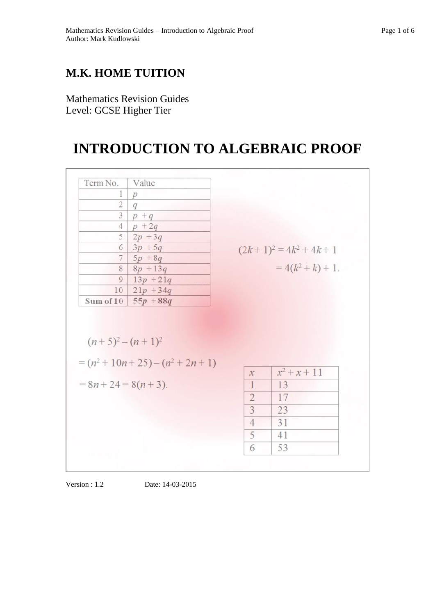## **M.K. HOME TUITION**

Mathematics Revision Guides Level: GCSE Higher Tier

# **INTRODUCTION TO ALGEBRAIC PROOF**

| Term No.            | Value                                 |                                  |                            |
|---------------------|---------------------------------------|----------------------------------|----------------------------|
| 1                   | $\boldsymbol{p}$                      |                                  |                            |
| $\overline{2}$      | q                                     |                                  |                            |
| 3                   | $p + q$                               |                                  |                            |
| $\overline{4}$      | $p + 2q$                              |                                  |                            |
| 5                   | $2p + 3q$                             |                                  |                            |
|                     | $6   3p + 5q$                         |                                  | $(2k+1)^2 = 4k^2 + 4k + 1$ |
|                     | $7   5p + 8q$                         |                                  |                            |
|                     | $8   8p + 13q$                        |                                  | $=4(k^2+k)+1$ .            |
| 9 <sup>1</sup>      | $13p + 21q$                           |                                  |                            |
|                     | $10 \mid 21p + 34q$                   |                                  |                            |
|                     | Sum of $10   55p + 88q$               |                                  |                            |
|                     |                                       |                                  |                            |
| $(n+5)^2 - (n+1)^2$ |                                       |                                  |                            |
|                     | $= (n^2 + 10n + 25) - (n^2 + 2n + 1)$ | $\mathcal{X}$                    | $x^2 + x + 11$             |
|                     | $= 8n + 24 = 8(n + 3)$ .              | $\mathbf{1}$                     | 13                         |
|                     |                                       |                                  | 17                         |
|                     |                                       | $\overline{2}$<br>$\overline{3}$ | 23                         |
|                     |                                       | $\overline{4}$                   | 31                         |
|                     |                                       | 5                                | 41                         |

Version : 1.2 Date: 14-03-2015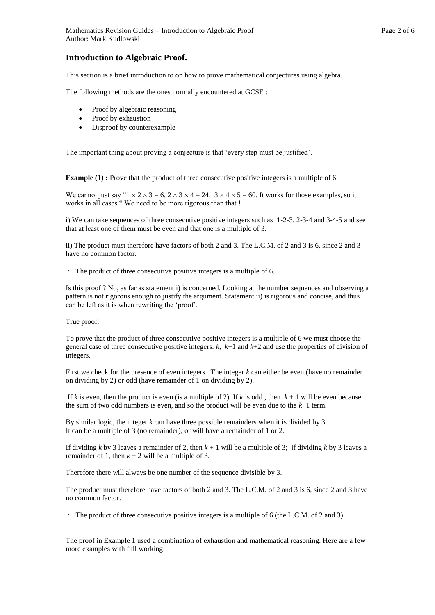### **Introduction to Algebraic Proof.**

This section is a brief introduction to on how to prove mathematical conjectures using algebra.

The following methods are the ones normally encountered at GCSE :

- Proof by algebraic reasoning
- Proof by exhaustion
- Disproof by counterexample

The important thing about proving a conjecture is that 'every step must be justified'.

**Example (1) :** Prove that the product of three consecutive positive integers is a multiple of 6.

We cannot just say " $1 \times 2 \times 3 = 6$ ,  $2 \times 3 \times 4 = 24$ ,  $3 \times 4 \times 5 = 60$ . It works for those examples, so it works in all cases." We need to be more rigorous than that !

i) We can take sequences of three consecutive positive integers such as 1-2-3, 2-3-4 and 3-4-5 and see that at least one of them must be even and that one is a multiple of 3.

ii) The product must therefore have factors of both 2 and 3. The L.C.M. of 2 and 3 is 6, since 2 and 3 have no common factor.

 $\therefore$  The product of three consecutive positive integers is a multiple of 6.

Is this proof ? No, as far as statement i) is concerned. Looking at the number sequences and observing a pattern is not rigorous enough to justify the argument. Statement ii) is rigorous and concise, and thus can be left as it is when rewriting the 'proof'.

#### True proof:

To prove that the product of three consecutive positive integers is a multiple of 6 we must choose the general case of three consecutive positive integers: *k*, *k*+1 and *k*+2 and use the properties of division of integers.

First we check for the presence of even integers. The integer *k* can either be even (have no remainder on dividing by 2) or odd (have remainder of 1 on dividing by 2).

If  $k$  is even, then the product is even (is a multiple of 2). If  $k$  is odd, then  $k + 1$  will be even because the sum of two odd numbers is even, and so the product will be even due to the *k*+1 term.

By similar logic, the integer *k* can have three possible remainders when it is divided by 3. It can be a multiple of 3 (no remainder), or will have a remainder of 1 or 2.

If dividing *k* by 3 leaves a remainder of 2, then  $k + 1$  will be a multiple of 3; if dividing *k* by 3 leaves a remainder of 1, then  $k + 2$  will be a multiple of 3.

Therefore there will always be one number of the sequence divisible by 3.

The product must therefore have factors of both 2 and 3. The L.C.M. of 2 and 3 is 6, since 2 and 3 have no common factor.

 $\therefore$  The product of three consecutive positive integers is a multiple of 6 (the L.C.M. of 2 and 3).

The proof in Example 1 used a combination of exhaustion and mathematical reasoning. Here are a few more examples with full working: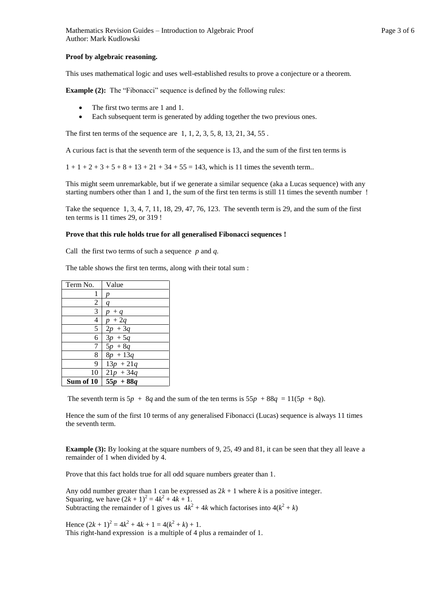#### **Proof by algebraic reasoning.**

This uses mathematical logic and uses well-established results to prove a conjecture or a theorem.

**Example (2):** The "Fibonacci" sequence is defined by the following rules:

- The first two terms are 1 and 1.
- Each subsequent term is generated by adding together the two previous ones.

The first ten terms of the sequence are 1, 1, 2, 3, 5, 8, 13, 21, 34, 55 .

A curious fact is that the seventh term of the sequence is 13, and the sum of the first ten terms is

 $1 + 1 + 2 + 3 + 5 + 8 + 13 + 21 + 34 + 55 = 143$ , which is 11 times the seventh term..

This might seem unremarkable, but if we generate a similar sequence (aka a Lucas sequence) with any starting numbers other than 1 and 1, the sum of the first ten terms is still 11 times the seventh number !

Take the sequence 1, 3, 4, 7, 11, 18, 29, 47, 76, 123. The seventh term is 29, and the sum of the first ten terms is 11 times 29, or 319 !

#### **Prove that this rule holds true for all generalised Fibonacci sequences !**

Call the first two terms of such a sequence *p* and *q.*

The table shows the first ten terms, along with their total sum :

| Term No.  | Value            |
|-----------|------------------|
| 1         |                  |
| 2         | $\boldsymbol{q}$ |
| 3         | $+q$             |
| 4         | $p + 2q$         |
| 5         | $2p + 3q$        |
| 6         | $3p + 5q$        |
| 7         | $5p + 8q$        |
| 8         | $8p + 13q$       |
| 9         | $13p + 21q$      |
| 10        | $21p + 34q$      |
| Sum of 10 | $55p + 88q$      |

The seventh term is  $5p + 8q$  and the sum of the ten terms is  $55p + 88q = 11(5p + 8q)$ .

Hence the sum of the first 10 terms of any generalised Fibonacci (Lucas) sequence is always 11 times the seventh term.

**Example (3):** By looking at the square numbers of 9, 25, 49 and 81, it can be seen that they all leave a remainder of 1 when divided by 4.

Prove that this fact holds true for all odd square numbers greater than 1.

Any odd number greater than 1 can be expressed as  $2k + 1$  where *k* is a positive integer. Squaring, we have  $(2k + 1)^2 = 4k^2 + 4k + 1$ . Subtracting the remainder of 1 gives us  $4k^2 + 4k$  which factorises into  $4(k^2 + k)$ 

Hence  $(2k + 1)^2 = 4k^2 + 4k + 1 = 4(k^2 + k) + 1$ . This right-hand expression is a multiple of 4 plus a remainder of 1.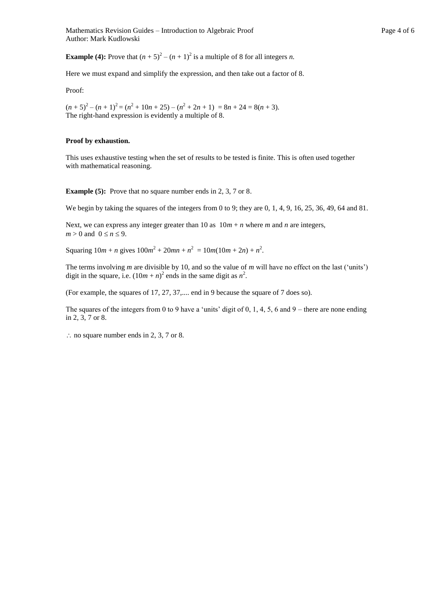Mathematics Revision Guides – Introduction to Algebraic Proof Page 4 of 6 Author: Mark Kudlowski

**Example (4):** Prove that  $(n + 5)^2 - (n + 1)^2$  is a multiple of 8 for all integers *n*.

Here we must expand and simplify the expression, and then take out a factor of 8.

Proof:

 $(n+5)^2 - (n+1)^2 = (n^2 + 10n + 25) - (n^2 + 2n + 1) = 8n + 24 = 8(n+3).$ The right-hand expression is evidently a multiple of 8.

#### **Proof by exhaustion.**

This uses exhaustive testing when the set of results to be tested is finite. This is often used together with mathematical reasoning.

**Example (5):** Prove that no square number ends in 2, 3, 7 or 8.

We begin by taking the squares of the integers from 0 to 9; they are 0, 1, 4, 9, 16, 25, 36, 49, 64 and 81.

Next, we can express any integer greater than 10 as  $10m + n$  where *m* and *n* are integers,  $m > 0$  and  $0 \le n \le 9$ .

Squaring  $10m + n$  gives  $100m^2 + 20mn + n^2 = 10m(10m + 2n) + n^2$ .

The terms involving *m* are divisible by 10, and so the value of *m* will have no effect on the last ('units') digit in the square, i.e.  $(10m + n)^2$  ends in the same digit as  $n^2$ .

(For example, the squares of 17, 27, 37,.... end in 9 because the square of 7 does so).

The squares of the integers from 0 to 9 have a 'units' digit of 0, 1, 4, 5, 6 and 9 – there are none ending in 2, 3, 7 or 8.

 $\therefore$  no square number ends in 2, 3, 7 or 8.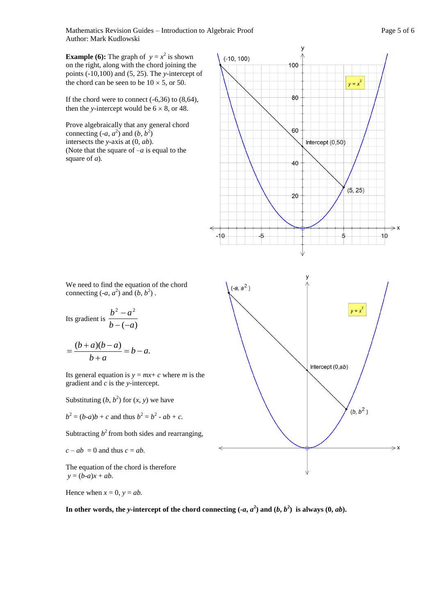Mathematics Revision Guides – Introduction to Algebraic Proof Page 5 of 6 Author: Mark Kudlowski

**Example (6):** The graph of  $y = x^2$  is shown on the right, along with the chord joining the points (-10,100) and (5, 25). The *y-*intercept of the chord can be seen to be  $10 \times 5$ , or 50.

If the chord were to connect  $(-6,36)$  to  $(8,64)$ , then the *y*-intercept would be  $6 \times 8$ , or 48.

Prove algebraically that any general chord connecting  $(-a, a^2)$  and  $(b, b^2)$ intersects the *y*-axis at (0, *ab*). (Note that the square of –*a* is equal to the square of *a*)*.*



We need to find the equation of the chord connecting  $(-a, a^2)$  and  $(b, b^2)$ .

Its gradient is  $\frac{a}{b-(-a)}$ 2  $a^2$  $b - (-a)$  $b^2 - a$  $-( \overline{a}$ 

$$
=\frac{(b+a)(b-a)}{b+a}=b-a.
$$

Its general equation is  $y = mx + c$  where *m* is the gradient and *c* is the *y-*intercept.

Substituting  $(b, b^2)$  for  $(x, y)$  we have

$$
b2 = (b-a)b + c
$$
 and thus  $b2 = b2 - ab + c$ .

Subtracting  $b^2$  from both sides and rearranging,

$$
c - ab = 0
$$
 and thus  $c = ab$ .

The equation of the chord is therefore  $y = (b-a)x + ab$ .

Hence when  $x = 0$ ,  $y = ab$ .

In other words, the *y*-intercept of the chord connecting  $(-a, a^2)$  and  $(b, b^2)$  is always  $(0, ab)$ .